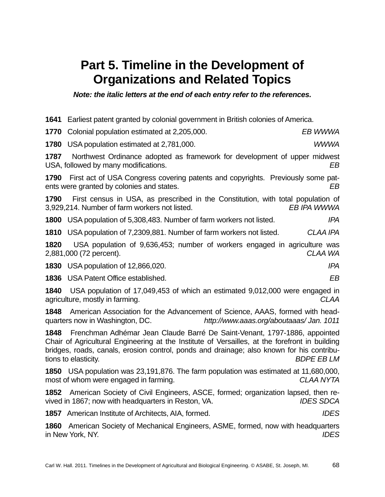## **Part 5. Timeline in the Development of Organizations and Related Topics**

*Note: the italic letters at the end of each entry refer to the references.* 

 Earliest patent granted by colonial government in British colonies of America. Colonial population estimated at 2,205,000. *EB WWWA* USA population estimated at 2,781,000. *WWWA* Northwest Ordinance adopted as framework for development of upper midwest USA, followed by many modifications. *EB* First act of USA Congress covering patents and copyrights. Previously some patents were granted by colonies and states. *EB* First census in USA, as prescribed in the Constitution, with total population of 3,929,214. Number of farm workers not listed. *EB IPA WWWA* USA population of 5,308,483. Number of farm workers not listed. *IPA*  USA population of 7,2309,881. Number of farm workers not listed. *CLAA IPA* USA population of 9,636,453; number of workers engaged in agriculture was 2,881,000 (72 percent). *CLAA WA*  USA population of 12,866,020. *IPA*  USA Patent Office established. *EB*  USA population of 17,049,453 of which an estimated 9,012,000 were engaged in agriculture, mostly in farming. *CLAA*  American Association for the Advancement of Science, AAAS, formed with headquarters now in Washington, DC. *http://www.aaas.org/aboutaaas/ Jan. 1011*  Frenchman Adhémar Jean Claude Barré De Saint-Venant, 1797-1886, appointed Chair of Agricultural Engineering at the Institute of Versailles, at the forefront in building bridges, roads, canals, erosion control, ponds and drainage; also known for his contributions to elasticity. *BDPE EB LM*  USA population was 23,191,876. The farm population was estimated at 11,680,000, most of whom were engaged in farming. *CLAA NYTA* American Society of Civil Engineers, ASCE, formed; organization lapsed, then revived in 1867; now with headquarters in Reston, VA. *IDES SDCA*  American Institute of Architects, AIA, formed. *IDES*  American Society of Mechanical Engineers, ASME, formed, now with headquarters

in New York, NY. *IDES*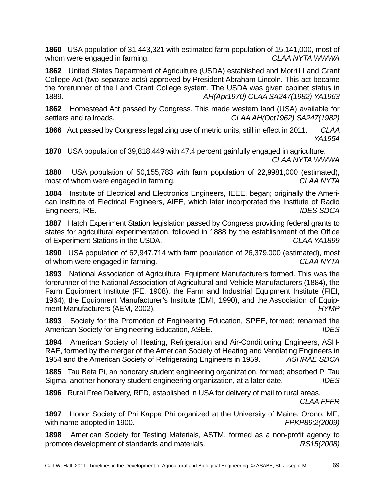**1860** USA population of 31,443,321 with estimated farm population of 15,141,000, most of whom were engaged in farming. *CLAA NYTA WWWA* 

**1862** United States Department of Agriculture (USDA) established and Morrill Land Grant College Act (two separate acts) approved by President Abraham Lincoln. This act became the forerunner of the Land Grant College system. The USDA was given cabinet status in 1889. *AH(Apr1970) CLAA SA247(1982) YA1963* 

**1862** Homestead Act passed by Congress. This made western land (USA) available for settlers and railroads. *CLAA AH(Oct1962) SA247(1982)* 

**1866** Act passed by Congress legalizing use of metric units, still in effect in 2011. *CLAA YA1954* 

**1870** USA population of 39,818,449 with 47.4 percent gainfully engaged in agriculture. *CLAA NYTA WWWA* 

**1880** USA population of 50,155,783 with farm population of 22,9981,000 (estimated), most of whom were engaged in farming. *CLAA NYTA* 

**1884** Institute of Electrical and Electronics Engineers, IEEE, began; originally the American Institute of Electrical Engineers, AIEE, which later incorporated the Institute of Radio Engineers, IRE. *IDES SDCA* 

**1887** Hatch Experiment Station legislation passed by Congress providing federal grants to states for agricultural experimentation, followed in 1888 by the establishment of the Office of Experiment Stations in the USDA. *CLAA YA1899* 

**1890** USA population of 62,947,714 with farm population of 26,379,000 (estimated), most of whom were engaged in farming. *CLAA NYTA* 

**1893** National Association of Agricultural Equipment Manufacturers formed. This was the forerunner of the National Association of Agricultural and Vehicle Manufacturers (1884), the Farm Equipment Institute (FE, 1908), the Farm and Industrial Equipment Institute (FIEI, 1964), the Equipment Manufacturer's Institute (EMI, 1990), and the Association of Equipment Manufacturers (AEM, 2002). *HYMP*

**1893** Society for the Promotion of Engineering Education, SPEE, formed; renamed the American Society for Engineering Education, ASEE. *IDES*

**1894** American Society of Heating, Refrigeration and Air-Conditioning Engineers, ASH-RAE, formed by the merger of the American Society of Heating and Ventilating Engineers in 1954 and the American Society of Refrigerating Engineers in 1959. *ASHRAE SDCA* 

**1885** Tau Beta Pi, an honorary student engineering organization, formed; absorbed Pi Tau Sigma, another honorary student engineering organization, at a later date. *IDES*

**1896** Rural Free Delivery, RFD, established in USA for delivery of mail to rural areas. *CLAA FFFR*

**1897** Honor Society of Phi Kappa Phi organized at the University of Maine, Orono, ME, with name adopted in 1900. *FPKP89:2(2009)* 

**1898** American Society for Testing Materials, ASTM, formed as a non-profit agency to promote development of standards and materials. *RS15(2008)*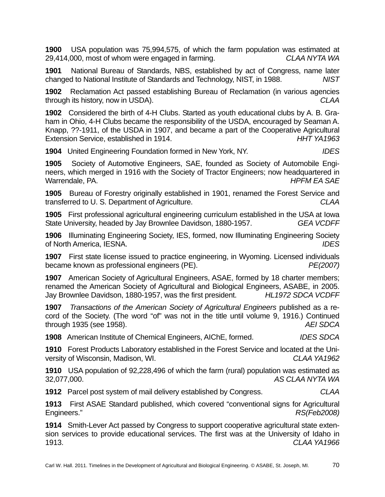**1900** USA population was 75,994,575, of which the farm population was estimated at 29,414,000, most of whom were engaged in farming. *CLAA NYTA WA* 

**1901** National Bureau of Standards, NBS, established by act of Congress, name later changed to National Institute of Standards and Technology, NIST, in 1988. *NIST* 

**1902** Reclamation Act passed establishing Bureau of Reclamation (in various agencies through its history, now in USDA). *CLAA* 

**1902** Considered the birth of 4-H Clubs. Started as youth educational clubs by A. B. Graham in Ohio, 4-H Clubs became the responsibility of the USDA, encouraged by Seaman A. Knapp, ??-1911, of the USDA in 1907, and became a part of the Cooperative Agricultural Extension Service, established in 1914. **HHT YA1963 HHT YA1963** 

**1904** United Engineering Foundation formed in New York, NY. *IDES* 

**1905** Society of Automotive Engineers, SAE, founded as Society of Automobile Engineers, which merged in 1916 with the Society of Tractor Engineers; now headquartered in Warrendale, PA. *HPFM EA SAE* 

**1905** Bureau of Forestry originally established in 1901, renamed the Forest Service and transferred to U. S. Department of Agriculture. *CLAA* 

**1905** First professional agricultural engineering curriculum established in the USA at Iowa State University, headed by Jay Brownlee Davidson, 1880-1957. *GEA VCDFF* 

**1906** Illuminating Engineering Society, IES, formed, now Illuminating Engineering Society of North America, IESNA. *IDES* 

**1907** First state license issued to practice engineering, in Wyoming. Licensed individuals became known as professional engineers (PE). *PE(2007)* 

**1907** American Society of Agricultural Engineers, ASAE, formed by 18 charter members; renamed the American Society of Agricultural and Biological Engineers, ASABE, in 2005. Jay Brownlee Davidson, 1880-1957, was the first president. *HL1972 SDCA VCDFF* 

**1907** *Transactions of the American Society of Agricultural Engineers* published as a record of the Society. (The word "of" was not in the title until volume 9, 1916.) Continued through 1935 (see 1958). *AEI SDCA* 

**1908** American Institute of Chemical Engineers, AIChE, formed. *IDES SDCA* 

**1910** Forest Products Laboratory established in the Forest Service and located at the University of Wisconsin, Madison, WI. *CLAA YA1962* 

**1910** USA population of 92,228,496 of which the farm (rural) population was estimated as 32,077,000. *AS CLAA NYTA WA* 

**1912** Parcel post system of mail delivery established by Congress. *CLAA* 

**1913** First ASAE Standard published, which covered "conventional signs for Agricultural Engineers." *RS(Feb2008)* 

**1914** Smith-Lever Act passed by Congress to support cooperative agricultural state extension services to provide educational services. The first was at the University of Idaho in 1913. *CLAA YA1966*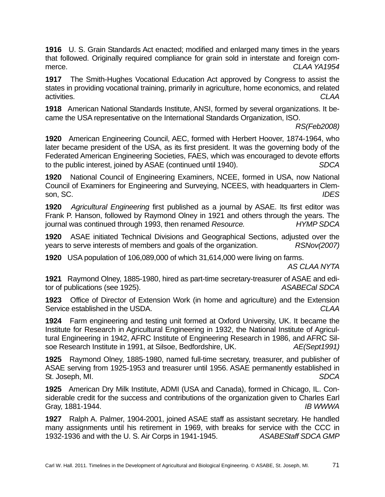**1916** U. S. Grain Standards Act enacted; modified and enlarged many times in the years that followed. Originally required compliance for grain sold in interstate and foreign commerce. *CLAA YA1954* 

**1917** The Smith-Hughes Vocational Education Act approved by Congress to assist the states in providing vocational training, primarily in agriculture, home economics, and related activities. *CLAA* 

**1918** American National Standards Institute, ANSI, formed by several organizations. It became the USA representative on the International Standards Organization, ISO.

*RS(Feb2008)* 

**1920** American Engineering Council, AEC, formed with Herbert Hoover, 1874-1964, who later became president of the USA, as its first president. It was the governing body of the Federated American Engineering Societies, FAES, which was encouraged to devote efforts to the public interest, joined by ASAE (continued until 1940). *SDCA* 

**1920** National Council of Engineering Examiners, NCEE, formed in USA, now National Council of Examiners for Engineering and Surveying, NCEES, with headquarters in Clemson, SC. *IDES* 

**1920** *Agricultural Engineering* first published as a journal by ASAE. Its first editor was Frank P. Hanson, followed by Raymond Olney in 1921 and others through the years. The journal was continued through 1993, then renamed *Resource. HYMP SDCA* 

**1920** ASAE initiated Technical Divisions and Geographical Sections, adjusted over the years to serve interests of members and goals of the organization. *RSNov(2007)* 

**1920** USA population of 106,089,000 of which 31,614,000 were living on farms.

*AS CLAA NYTA* 

**1921** Raymond Olney, 1885-1980, hired as part-time secretary-treasurer of ASAE and editor of publications (see 1925). *ASABECal SDCA* 

**1923** Office of Director of Extension Work (in home and agriculture) and the Extension Service established in the USDA. *CLAA* 

**1924** Farm engineering and testing unit formed at Oxford University, UK. It became the Institute for Research in Agricultural Engineering in 1932, the National Institute of Agricultural Engineering in 1942, AFRC Institute of Engineering Research in 1986, and AFRC Silsoe Research Institute in 1991, at Silsoe, Bedfordshire, UK. *AE(Sept1991)* 

**1925** Raymond Olney, 1885-1980, named full-time secretary, treasurer, and publisher of ASAE serving from 1925-1953 and treasurer until 1956. ASAE permanently established in St. Joseph, MI. *SDCA* 

**1925** American Dry Milk Institute, ADMI (USA and Canada), formed in Chicago, IL. Considerable credit for the success and contributions of the organization given to Charles Earl Gray, 1881-1944. *IB WWWA* 

**1927** Ralph A. Palmer, 1904-2001, joined ASAE staff as assistant secretary. He handled many assignments until his retirement in 1969, with breaks for service with the CCC in 1932-1936 and with the U. S. Air Corps in 1941-1945. *ASABEStaff SDCA GMP*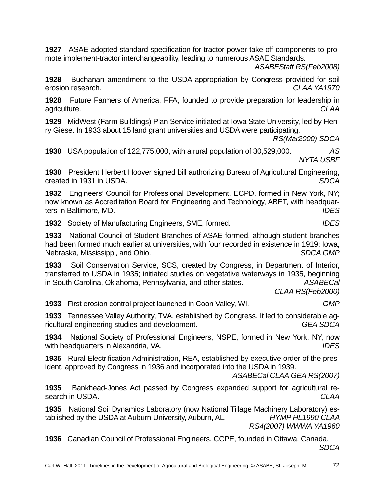**1927** ASAE adopted standard specification for tractor power take-off components to promote implement-tractor interchangeability, leading to numerous ASAE Standards.

*ASABEStaff RS(Feb2008)* 

**1928** Buchanan amendment to the USDA appropriation by Congress provided for soil erosion research. *CLAA YA1970* 

**1928** Future Farmers of America, FFA, founded to provide preparation for leadership in agriculture. *CLAA* 

**1929** MidWest (Farm Buildings) Plan Service initiated at Iowa State University, led by Henry Giese. In 1933 about 15 land grant universities and USDA were participating.

*RS(Mar2000) SDCA* 

**1930** USA population of 122,775,000, with a rural population of 30,529,000. *AS NYTA USBF* 

**1930** President Herbert Hoover signed bill authorizing Bureau of Agricultural Engineering, created in 1931 in USDA. *SDCA* 

**1932** Engineers' Council for Professional Development, ECPD, formed in New York, NY; now known as Accreditation Board for Engineering and Technology, ABET, with headquarters in Baltimore, MD. *IDES* 

**1932** Society of Manufacturing Engineers, SME, formed. *IDES* 

**1933** National Council of Student Branches of ASAE formed, although student branches had been formed much earlier at universities, with four recorded in existence in 1919: Iowa, Nebraska, Mississippi, and Ohio. *SDCA GMP* 

**1933** Soil Conservation Service, SCS, created by Congress, in Department of Interior, transferred to USDA in 1935; initiated studies on vegetative waterways in 1935, beginning in South Carolina, Oklahoma, Pennsylvania, and other states. *ASABECal* 

 *CLAA RS(Feb2000)* 

**1933** First erosion control project launched in Coon Valley, WI. *GMP* 

**1933** Tennessee Valley Authority, TVA, established by Congress. It led to considerable agricultural engineering studies and development. *GEA SDCA* 

**1934** National Society of Professional Engineers, NSPE, formed in New York, NY, now with headquarters in Alexandria, VA. **IDES IDES** 

**1935** Rural Electrification Administration, REA, established by executive order of the president, approved by Congress in 1936 and incorporated into the USDA in 1939.

*ASABECal CLAA GEA RS(2007)* 

**1935** Bankhead-Jones Act passed by Congress expanded support for agricultural research in USDA. *CLAA* 

**1935** National Soil Dynamics Laboratory (now National Tillage Machinery Laboratory) established by the USDA at Auburn University, Auburn, AL. *HYMP HL1990 CLAA RS4(2007) WWWA YA1960*

**1936** Canadian Council of Professional Engineers, CCPE, founded in Ottawa, Canada. *SDCA*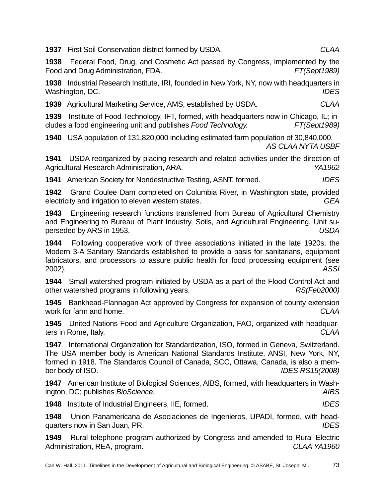**1937** First Soil Conservation district formed by USDA. *CLAA* 

**1938** Federal Food, Drug, and Cosmetic Act passed by Congress, implemented by the Food and Drug Administration, FDA. *FT(Sept1989)* 

**1938** Industrial Research Institute, IRI, founded in New York, NY, now with headquarters in Washington, DC. *IDES* 

**1939** Agricultural Marketing Service, AMS, established by USDA. *CLAA* 

**1939** Institute of Food Technology, IFT, formed, with headquarters now in Chicago, IL; includes a food engineering unit and publishes *Food Technology. FT(Sept1989)* 

**1940** USA population of 131,820,000 including estimated farm population of 30,840,000. *AS CLAA NYTA USBF*

**1941** USDA reorganized by placing research and related activities under the direction of Agricultural Research Administration, ARA. *YA1962* 

**1941** American Society for Nondestructive Testing, ASNT, formed. *IDES* 

**1942** Grand Coulee Dam completed on Columbia River, in Washington state, provided electricity and irrigation to eleven western states. *GEA* 

**1943** Engineering research functions transferred from Bureau of Agricultural Chemistry and Engineering to Bureau of Plant Industry, Soils, and Agricultural Engineering. Unit superseded by ARS in 1953. *USDA* 

**1944** Following cooperative work of three associations initiated in the late 1920s, the Modern 3-A Sanitary Standards established to provide a basis for sanitarians, equipment fabricators, and processors to assure public health for food processing equipment (see 2002). *ASSI* 

**1944** Small watershed program initiated by USDA as a part of the Flood Control Act and other watershed programs in following years. *RS(Feb2000)* 

**1945** Bankhead-Flannagan Act approved by Congress for expansion of county extension work for farm and home. *CLAA* 

**1945** United Nations Food and Agriculture Organization, FAO, organized with headquarters in Rome, Italy. *CLAA* 

**1947** International Organization for Standardization, ISO, formed in Geneva, Switzerland. The USA member body is American National Standards Institute, ANSI, New York, NY, formed in 1918. The Standards Council of Canada, SCC, Ottawa, Canada, is also a member body of ISO. *IDES RS15(2008)*

**1947** American Institute of Biological Sciences, AIBS, formed, with headquarters in Washington, DC; publishes *BioScience*. *AIBS* 

**1948** Institute of Industrial Engineers, IIE, formed. *IDES* 

**1948** Union Panamericana de Asociaciones de Ingenieros, UPADI, formed, with headquarters now in San Juan, PR. *IDES* 

**1949** Rural telephone program authorized by Congress and amended to Rural Electric Administration, REA, program. *CLAA YA1960*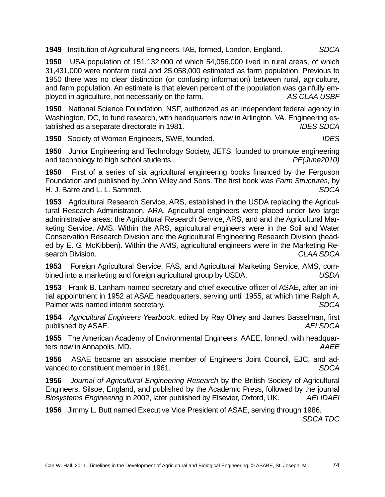**1949** Institution of Agricultural Engineers, IAE, formed, London, England. *SDCA* 

**1950** USA population of 151,132,000 of which 54,056,000 lived in rural areas, of which 31,431,000 were nonfarm rural and 25,058,000 estimated as farm population. Previous to 1950 there was no clear distinction (or confusing information) between rural, agriculture, and farm population. An estimate is that eleven percent of the population was gainfully employed in agriculture, not necessarily on the farm. *AS CLAA USBF* 

**1950** National Science Foundation, NSF, authorized as an independent federal agency in Washington, DC, to fund research, with headquarters now in Arlington, VA. Engineering established as a separate directorate in 1981. *IDES SDCA*

**1950** Society of Women Engineers, SWE, founded. *IDES* 

**1950** Junior Engineering and Technology Society, JETS, founded to promote engineering and technology to high school students. *PE(June2010)* 

**1950** First of a series of six agricultural engineering books financed by the Ferguson Foundation and published by John Wiley and Sons. The first book was *Farm Structures,* by H. J. Barre and L. L. Sammet. *SDCA* 

**1953** Agricultural Research Service, ARS, established in the USDA replacing the Agricultural Research Administration, ARA. Agricultural engineers were placed under two large administrative areas: the Agricultural Research Service, ARS, and and the Agricultural Marketing Service, AMS. Within the ARS, agricultural engineers were in the Soil and Water Conservation Research Division and the Agricultural Engineering Research Division (headed by E. G. McKibben). Within the AMS, agricultural engineers were in the Marketing Research Division. *CLAA SDCA* 

**1953** Foreign Agricultural Service, FAS, and Agricultural Marketing Service, AMS, combined into a marketing and foreign agricultural group by USDA. *USDA* 

**1953** Frank B. Lanham named secretary and chief executive officer of ASAE, after an initial appointment in 1952 at ASAE headquarters, serving until 1955, at which time Ralph A. Palmer was named interim secretary. *SDCA* 

**1954** *Agricultural Engineers Yearbook*, edited by Ray Olney and James Basselman, first published by ASAE. *AEI SDCA* 

**1955** The American Academy of Environmental Engineers, AAEE, formed, with headquarters now in Annapolis, MD. *AAEE* 

**1956** ASAE became an associate member of Engineers Joint Council, EJC, and advanced to constituent member in 1961. *SDCA* 

**1956** *Journal of Agricultural Engineering Research* by the British Society of Agricultural Engineers, Silsoe, England, and published by the Academic Press, followed by the journal *Biosystems Engineering* in 2002, later published by Elsevier, Oxford, UK. *AEI IDAEI* 

**1956** Jimmy L. Butt named Executive Vice President of ASAE, serving through 1986.

*SDCA TDC*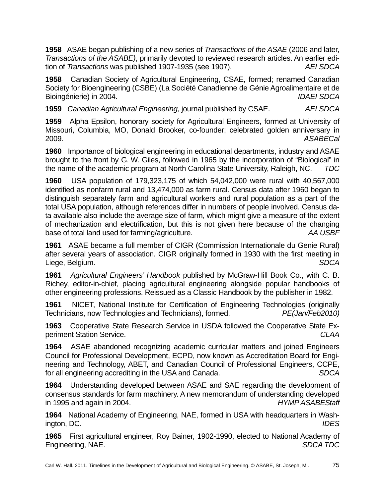**1958** ASAE began publishing of a new series of *Transactions of the ASAE* (2006 and later, *Transactions of the ASABE)*, primarily devoted to reviewed research articles. An earlier edition of *Transactions* was published 1907-1935 (see 1907). *AEI SDCA* 

**1958** Canadian Society of Agricultural Engineering, CSAE, formed; renamed Canadian Society for Bioengineering (CSBE) (La Société Canadienne de Génie Agroalimentaire et de Bioingénierie) in 2004. *IDAEI SDCA* 

**1959** *Canadian Agricultural Engineering*, journal published by CSAE. *AEI SDCA*

**1959** Alpha Epsilon, honorary society for Agricultural Engineers, formed at University of Missouri, Columbia, MO, Donald Brooker, co-founder; celebrated golden anniversary in 2009. *ASABECal* 

**1960** Importance of biological engineering in educational departments, industry and ASAE brought to the front by G. W. Giles, followed in 1965 by the incorporation of "Biological" in the name of the academic program at North Carolina State University, Raleigh, NC. *TDC*

**1960** USA population of 179,323,175 of which 54,042,000 were rural with 40,567,000 identified as nonfarm rural and 13,474,000 as farm rural. Census data after 1960 began to distinguish separately farm and agricultural workers and rural population as a part of the total USA population, although references differ in numbers of people involved. Census data available also include the average size of farm, which might give a measure of the extent of mechanization and electrification, but this is not given here because of the changing base of total land used for farming/agriculture. *AA USBF* 

**1961** ASAE became a full member of CIGR (Commission Internationale du Genie Rural) after several years of association. CIGR originally formed in 1930 with the first meeting in Liege, Belgium. *SDCA* 

**1961** *Agricultural Engineers' Handbook* published by McGraw-Hill Book Co., with C. B. Richey, editor-in-chief, placing agricultural engineering alongside popular handbooks of other engineering professions. Reissued as a Classic Handbook by the publisher in 1982.

**1961** NICET, National Institute for Certification of Engineering Technologies (originally Technicians, now Technologies and Technicians), formed. *PE(Jan/Feb2010)* 

**1963** Cooperative State Research Service in USDA followed the Cooperative State Experiment Station Service. *CLAA* 

**1964** ASAE abandoned recognizing academic curricular matters and joined Engineers Council for Professional Development, ECPD, now known as Accreditation Board for Engineering and Technology, ABET, and Canadian Council of Professional Engineers, CCPE, for all engineering accrediting in the USA and Canada. *SDCA* 

**1964** Understanding developed between ASAE and SAE regarding the development of consensus standards for farm machinery. A new memorandum of understanding developed in 1995 and again in 2004. *HYMP ASABEStaff* 

**1964** National Academy of Engineering, NAE, formed in USA with headquarters in Washington, DC. *IDES* 

**1965** First agricultural engineer, Roy Bainer, 1902-1990, elected to National Academy of Engineering, NAE. *SDCA TDC*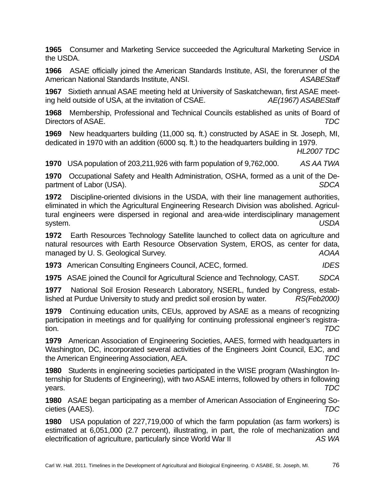**1965** Consumer and Marketing Service succeeded the Agricultural Marketing Service in the USDA. *USDA* 

**1966** ASAE officially joined the American Standards Institute, ASI, the forerunner of the American National Standards Institute, ANSI. *ASABEStaff* 

**1967** Sixtieth annual ASAE meeting held at University of Saskatchewan, first ASAE meeting held outside of USA, at the invitation of CSAE. *AE(1967) ASABEStaff* 

**1968** Membership, Professional and Technical Councils established as units of Board of Directors of ASAE. *TDC* 

**1969** New headquarters building (11,000 sq. ft.) constructed by ASAE in St. Joseph, MI, dedicated in 1970 with an addition (6000 sq. ft.) to the headquarters building in 1979.

*HL2007 TDC* 

**1970** USA population of 203,211,926 with farm population of 9,762,000. *AS AA TWA*

**1970** Occupational Safety and Health Administration, OSHA, formed as a unit of the Department of Labor (USA). *SDCA* 

**1972** Discipline-oriented divisions in the USDA, with their line management authorities, eliminated in which the Agricultural Engineering Research Division was abolished. Agricultural engineers were dispersed in regional and area-wide interdisciplinary management system. *USDA* 

**1972** Earth Resources Technology Satellite launched to collect data on agriculture and natural resources with Earth Resource Observation System, EROS, as center for data, managed by U. S. Geological Survey. *AOAA*

**1973** American Consulting Engineers Council, ACEC, formed. *IDES* 

**1975** ASAE joined the Council for Agricultural Science and Technology, CAST. *SDCA* 

**1977** National Soil Erosion Research Laboratory, NSERL, funded by Congress, established at Purdue University to study and predict soil erosion by water. *RS(Feb2000)* 

**1979** Continuing education units, CEUs, approved by ASAE as a means of recognizing participation in meetings and for qualifying for continuing professional engineer's registration. *TDC* 

**1979** American Association of Engineering Societies, AAES, formed with headquarters in Washington, DC, incorporated several activities of the Engineers Joint Council, EJC, and the American Engineering Association, AEA. *TDC* 

**1980** Students in engineering societies participated in the WISE program (Washington Internship for Students of Engineering), with two ASAE interns, followed by others in following years. *TDC* 

**1980** ASAE began participating as a member of American Association of Engineering Societies (AAES). *TDC* 

**1980** USA population of 227,719,000 of which the farm population (as farm workers) is estimated at 6,051,000 (2.7 percent), illustrating, in part, the role of mechanization and electrification of agriculture, particularly since World War II *AS WA*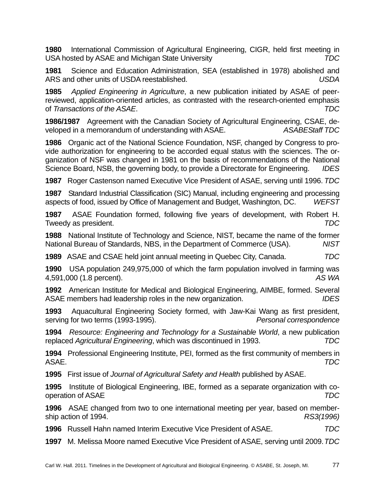**1980** International Commission of Agricultural Engineering, CIGR, held first meeting in USA hosted by ASAE and Michigan State University *TDC* 

**1981** Science and Education Administration, SEA (established in 1978) abolished and ARS and other units of USDA reestablished. *USDA* 

**1985** *Applied Engineering in Agriculture*, a new publication initiated by ASAE of peerreviewed, application-oriented articles, as contrasted with the research-oriented emphasis of *Transactions of the ASAE*. *TDC* 

**1986/1987** Agreement with the Canadian Society of Agricultural Engineering, CSAE, developed in a memorandum of understanding with ASAE. *ASABEStaff TDC* 

**1986** Organic act of the National Science Foundation, NSF, changed by Congress to provide authorization for engineering to be accorded equal status with the sciences. The organization of NSF was changed in 1981 on the basis of recommendations of the National Science Board, NSB, the governing body, to provide a Directorate for Engineering. *IDES* 

**1987** Roger Castenson named Executive Vice President of ASAE, serving until 1996. *TDC*

**1987** Standard Industrial Classification (SIC) Manual, including engineering and processing aspects of food, issued by Office of Management and Budget, Washington, DC. *WEFST* 

**1987** ASAE Foundation formed, following five years of development, with Robert H. Tweedy as president. *TDC* 

**1988** National Institute of Technology and Science, NIST, became the name of the former National Bureau of Standards, NBS, in the Department of Commerce (USA). *NIST* 

**1989** ASAE and CSAE held joint annual meeting in Quebec City, Canada. *TDC* 

**1990** USA population 249,975,000 of which the farm population involved in farming was 4,591,000 (1.8 percent). *AS WA*

**1992** American Institute for Medical and Biological Engineering, AIMBE, formed. Several ASAE members had leadership roles in the new organization. *IDES* 

**1993** Aquacultural Engineering Society formed, with Jaw-Kai Wang as first president, serving for two terms (1993-1995). *Personal correspondence* 

**1994** *Resource: Engineering and Technology for a Sustainable World*, a new publication replaced *Agricultural Engineering*, which was discontinued in 1993. *TDC* 

**1994** Professional Engineering Institute, PEI, formed as the first community of members in ASAE. *TDC* 

**1995** First issue of *Journal of Agricultural Safety and Health* published by ASAE.

**1995** Institute of Biological Engineering, IBE, formed as a separate organization with cooperation of ASAE *TDC*

**1996** ASAE changed from two to one international meeting per year, based on membership action of 1994. *RS3(1996)* 

**1996** Russell Hahn named Interim Executive Vice President of ASAE. *TDC* 

**1997** M. Melissa Moore named Executive Vice President of ASAE, serving until 2009. *TDC*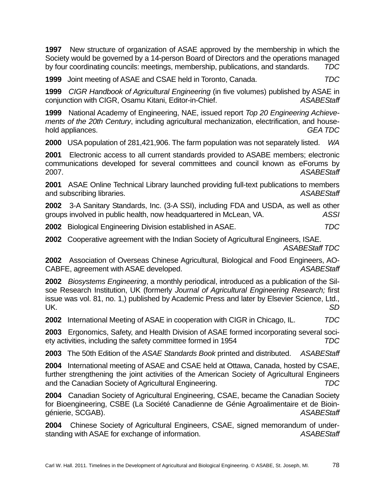**1997** New structure of organization of ASAE approved by the membership in which the Society would be governed by a 14-person Board of Directors and the operations managed by four coordinating councils: meetings, membership, publications, and standards. *TDC* 

**1999** Joint meeting of ASAE and CSAE held in Toronto, Canada. *TDC* 

**1999** *CIGR Handbook of Agricultural Engineering* (in five volumes) published by ASAE in conjunction with CIGR, Osamu Kitani, Editor-in-Chief. *ASABEStaff* 

**1999** National Academy of Engineering, NAE, issued report *Top 20 Engineering Achievements of the 20th Century*, including agricultural mechanization, electrification, and household appliances. *GEA TDC* 

**2000** USA population of 281,421,906. The farm population was not separately listed. *WA* 

**2001** Electronic access to all current standards provided to ASABE members; electronic communications developed for several committees and council known as eForums by 2007. *ASABEStaff* 

**2001** ASAE Online Technical Library launched providing full-text publications to members and subscribing libraries. *ASABEStaff* 

**2002** 3-A Sanitary Standards, Inc. (3-A SSI), including FDA and USDA, as well as other groups involved in public health, now headquartered in McLean, VA. *ASSI* 

**2002** Biological Engineering Division established in ASAE. *TDC* 

**2002** Cooperative agreement with the Indian Society of Agricultural Engineers, ISAE. *ASABEStaff TDC* 

**2002** Association of Overseas Chinese Agricultural, Biological and Food Engineers, AO-CABFE, agreement with ASAE developed. *ASABEStaff* 

**2002** *Biosystems Engineering*, a monthly periodical, introduced as a publication of the Silsoe Research Institution, UK (formerly *Journal of Agricultural Engineering Research;* first issue was vol. 81, no. 1,) published by Academic Press and later by Elsevier Science, Ltd., UK. *SD* 

**2002** International Meeting of ASAE in cooperation with CIGR in Chicago, IL. *TDC* 

**2003** Ergonomics, Safety, and Health Division of ASAE formed incorporating several society activities, including the safety committee formed in 1954 *TDC* 

**2003** The 50th Edition of the *ASAE Standards Book* printed and distributed. *ASABEStaff* 

**2004** International meeting of ASAE and CSAE held at Ottawa, Canada, hosted by CSAE, further strengthening the joint activities of the American Society of Agricultural Engineers and the Canadian Society of Agricultural Engineering. *TDC* 

**2004** Canadian Society of Agricultural Engineering, CSAE, became the Canadian Society for Bioengineering, CSBE (La Société Canadienne de Génie Agroalimentaire et de Bioingénierie, SCGAB). *ASABEStaff* 

**2004** Chinese Society of Agricultural Engineers, CSAE, signed memorandum of understanding with ASAE for exchange of information. *ASABEStaff*